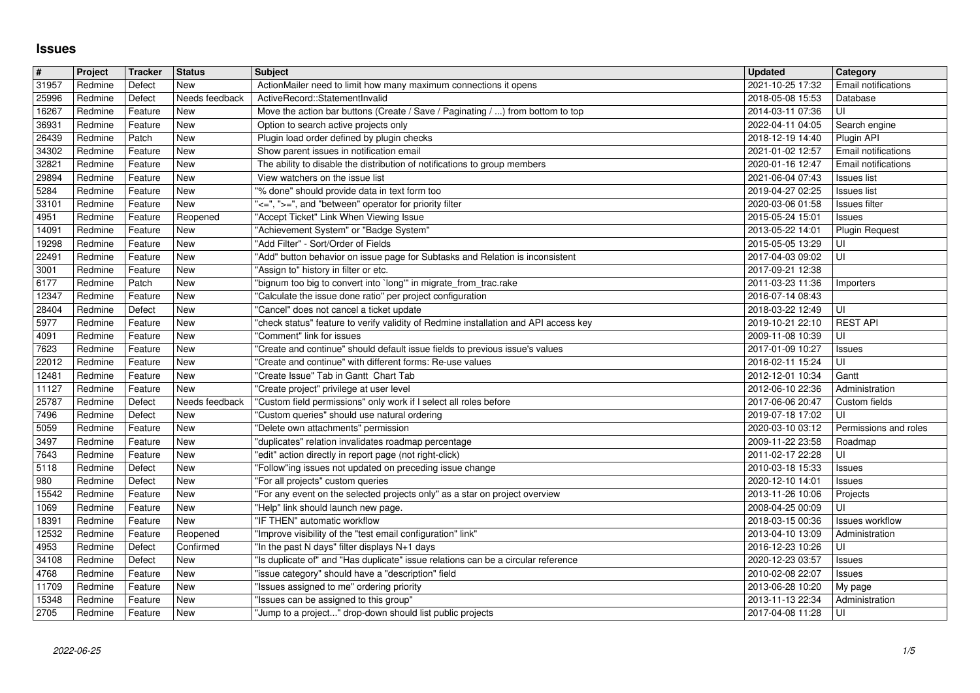## **Issues**

| #              | Project            | Tracker            | <b>Status</b>         | <b>Subject</b>                                                                                                                            | <b>Updated</b>                       | Category                                         |
|----------------|--------------------|--------------------|-----------------------|-------------------------------------------------------------------------------------------------------------------------------------------|--------------------------------------|--------------------------------------------------|
| 31957<br>25996 | Redmine<br>Redmine | Defect<br>Defect   | New<br>Needs feedback | ActionMailer need to limit how many maximum connections it opens<br>ActiveRecord::StatementInvalid                                        | 2021-10-25 17:32<br>2018-05-08 15:53 | Email notifications<br>Database                  |
| 16267          | Redmine            | Feature            | <b>New</b>            | Move the action bar buttons (Create / Save / Paginating / ) from bottom to top                                                            | 2014-03-11 07:36                     | UI                                               |
| 36931<br>26439 | Redmine<br>Redmine | Feature<br>Patch   | New<br>New            | Option to search active projects only<br>Plugin load order defined by plugin checks                                                       | 2022-04-11 04:05<br>2018-12-19 14:40 | Search engine<br>Plugin API                      |
| 34302          | Redmine            | Feature            | New                   | Show parent issues in notification email                                                                                                  | 2021-01-02 12:57                     | Email notifications                              |
| 32821          | Redmine<br>Redmine | Feature<br>Feature | New<br>New            | The ability to disable the distribution of notifications to group members<br>View watchers on the issue list                              | 2020-01-16 12:47                     | <b>Email notifications</b><br><b>Issues list</b> |
| 29894<br>5284  | Redmine            | Feature            | New                   | "% done" should provide data in text form too                                                                                             | 2021-06-04 07:43<br>2019-04-27 02:25 | <b>Issues list</b>                               |
| 33101          | Redmine            | Feature            | New                   | "<=", ">=", and "between" operator for priority filter                                                                                    | 2020-03-06 01:58                     | Issues filter                                    |
| 4951<br>14091  | Redmine<br>Redmine | Feature<br>Feature | Reopened<br>New       | "Accept Ticket" Link When Viewing Issue<br>"Achievement System" or "Badge System"                                                         | 2015-05-24 15:01<br>2013-05-22 14:01 | <b>Issues</b><br><b>Plugin Request</b>           |
| 19298          | Redmine            | Feature            | New                   | "Add Filter" - Sort/Order of Fields                                                                                                       | 2015-05-05 13:29                     | UI                                               |
| 22491<br>3001  | Redmine<br>Redmine | Feature<br>Feature | New<br>New            | "Add" button behavior on issue page for Subtasks and Relation is inconsistent<br>"Assign to" history in filter or etc.                    | 2017-04-03 09:02<br>2017-09-21 12:38 | UI                                               |
| 6177           | Redmine            | Patch              | New                   | "bignum too big to convert into `long'" in migrate_from_trac.rake                                                                         | 2011-03-23 11:36                     | Importers                                        |
| 12347<br>28404 | Redmine<br>Redmine | Feature<br>Defect  | <b>New</b><br>New     | "Calculate the issue done ratio" per project configuration<br>"Cancel" does not cancel a ticket update                                    | 2016-07-14 08:43<br>2018-03-22 12:49 | UI                                               |
| 5977           | Redmine            | Feature            | New                   | "check status" feature to verify validity of Redmine installation and API access key                                                      | 2019-10-21 22:10                     | <b>REST API</b>                                  |
| 4091           | Redmine            | Feature            | New                   | "Comment" link for issues                                                                                                                 | 2009-11-08 10:39                     | UI                                               |
| 7623<br>22012  | Redmine<br>Redmine | Feature<br>Feature | New<br>New            | "Create and continue" should default issue fields to previous issue's values<br>"Create and continue" with different forms: Re-use values | 2017-01-09 10:27<br>2016-02-11 15:24 | <b>Issues</b><br>UI                              |
| 12481          | Redmine            | Feature            | New                   | "Create Issue" Tab in Gantt Chart Tab                                                                                                     | 2012-12-01 10:34                     | Gantt                                            |
| 11127<br>25787 | Redmine<br>Redmine | Feature<br>Defect  | New<br>Needs feedback | "Create project" privilege at user level<br>"Custom field permissions" only work if I select all roles before                             | 2012-06-10 22:36<br>2017-06-06 20:47 | Administration<br>Custom fields                  |
| 7496           | Redmine            | Defect             | New                   | "Custom queries" should use natural ordering                                                                                              | 2019-07-18 17:02                     | UI                                               |
| 5059<br>3497   | Redmine<br>Redmine | Feature<br>Feature | New<br>New            | "Delete own attachments" permission<br>"duplicates" relation invalidates roadmap percentage                                               | 2020-03-10 03:12<br>2009-11-22 23:58 | Permissions and roles<br>Roadmap                 |
| 7643           | Redmine            | Feature            | New                   | "edit" action directly in report page (not right-click)                                                                                   | 2011-02-17 22:28                     | UI                                               |
| 5118           | Redmine            | Defect             | New                   | "Follow"ing issues not updated on preceding issue change                                                                                  | 2010-03-18 15:33                     | <b>Issues</b>                                    |
| 980<br>15542   | Redmine<br>Redmine | Defect<br>Feature  | New<br>New            | "For all projects" custom queries<br>"For any event on the selected projects only" as a star on project overview                          | 2020-12-10 14:01<br>2013-11-26 10:06 | <b>Issues</b><br>Projects                        |
| 1069           | Redmine            | Feature            | New                   | "Help" link should launch new page.                                                                                                       | 2008-04-25 00:09                     | UI                                               |
| 18391<br>12532 | Redmine<br>Redmine | Feature<br>Feature | New<br>Reopened       | "IF THEN" automatic workflow<br>"Improve visibility of the "test email configuration" link"                                               | 2018-03-15 00:36<br>2013-04-10 13:09 | <b>Issues workflow</b><br>Administration         |
| 4953           | Redmine            | Defect             | Confirmed             | "In the past N days" filter displays N+1 days                                                                                             | 2016-12-23 10:26                     | UI                                               |
| 34108<br>4768  | Redmine<br>Redmine | Defect<br>Feature  | <b>New</b><br>New     | "Is duplicate of" and "Has duplicate" issue relations can be a circular reference<br>"issue category" should have a "description" field   | 2020-12-23 03:57<br>2010-02-08 22:07 | <b>Issues</b><br><b>Issues</b>                   |
| 11709          | Redmine            | Feature            | $\sqrt{\text{New}}$   | "Issues assigned to me" ordering priority                                                                                                 | 2013-06-28 10:20                     | My page                                          |
| 15348<br>2705  | Redmine<br>Redmine | Feature<br>Feature | <b>New</b><br>New     | "Issues can be assigned to this group"<br>"Jump to a project" drop-down should list public projects                                       | 2013-11-13 22:34<br>2017-04-08 11:28 | Administration<br>UI                             |
|                |                    |                    |                       |                                                                                                                                           |                                      |                                                  |
|                |                    |                    |                       |                                                                                                                                           |                                      |                                                  |
|                |                    |                    |                       |                                                                                                                                           |                                      |                                                  |
|                |                    |                    |                       |                                                                                                                                           |                                      |                                                  |
|                |                    |                    |                       |                                                                                                                                           |                                      |                                                  |
|                |                    |                    |                       |                                                                                                                                           |                                      |                                                  |
|                |                    |                    |                       |                                                                                                                                           |                                      |                                                  |
|                |                    |                    |                       |                                                                                                                                           |                                      |                                                  |
|                |                    |                    |                       |                                                                                                                                           |                                      |                                                  |
|                |                    |                    |                       |                                                                                                                                           |                                      |                                                  |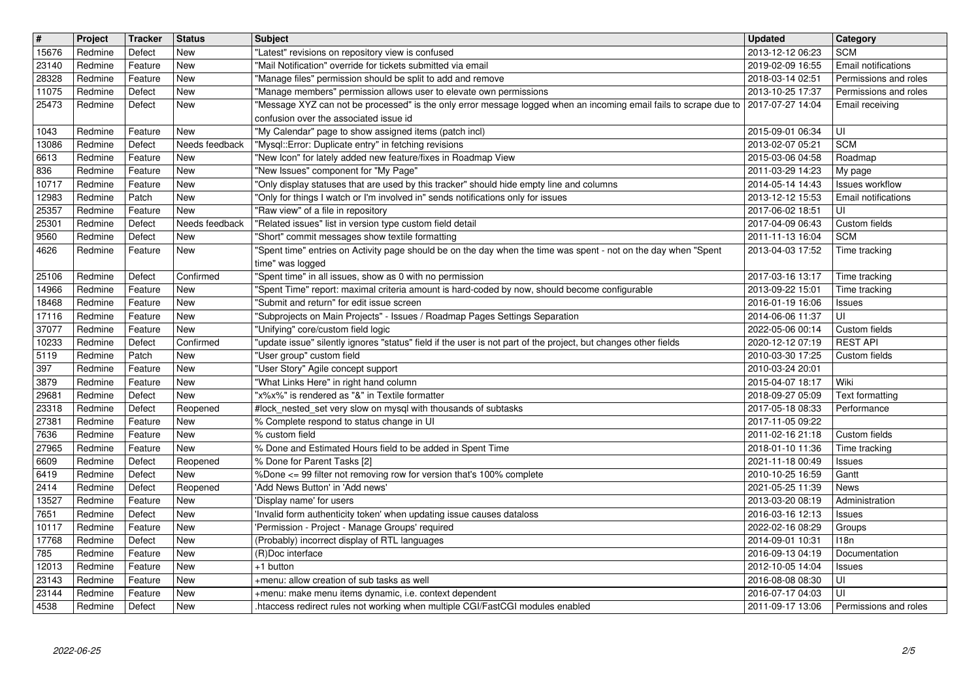| $\overline{\mathbf{H}}$ | Project            | <b>Tracker</b>     | <b>Status</b>                | <b>Subject</b>                                                                                                                                                               | <b>Updated</b>                       | Category                                             |
|-------------------------|--------------------|--------------------|------------------------------|------------------------------------------------------------------------------------------------------------------------------------------------------------------------------|--------------------------------------|------------------------------------------------------|
| 15676                   | Redmine            | Defect             | <b>New</b>                   | "Latest" revisions on repository view is confused                                                                                                                            | 2013-12-12 06:23                     | <b>SCM</b>                                           |
| 23140<br>28328          | Redmine<br>Redmine | Feature<br>Feature | <b>New</b><br>New            | "Mail Notification" override for tickets submitted via email<br>"Manage files" permission should be split to add and remove                                                  | 2019-02-09 16:55<br>2018-03-14 02:51 | Email notifications<br>Permissions and roles         |
| 11075                   | Redmine            | Defect             | New                          | "Manage members" permission allows user to elevate own permissions                                                                                                           | 2013-10-25 17:37                     | Permissions and roles                                |
| 25473                   | Redmine            | Defect             | New                          | "Message XYZ can not be processed" is the only error message logged when an incoming email fails to scrape due to 2017-07-27 14:04                                           |                                      | Email receiving                                      |
|                         |                    |                    |                              | confusion over the associated issue id                                                                                                                                       |                                      |                                                      |
| 1043<br>13086           | Redmine<br>Redmine | Feature<br>Defect  | <b>New</b><br>Needs feedback | "My Calendar" page to show assigned items (patch incl)<br>"Mysql::Error: Duplicate entry" in fetching revisions                                                              | 2015-09-01 06:34<br>2013-02-07 05:21 | UI<br><b>SCM</b>                                     |
| 6613                    | Redmine            | Feature            | New                          | "New Icon" for lately added new feature/fixes in Roadmap View                                                                                                                | 2015-03-06 04:58                     | Roadmap                                              |
| 836                     | Redmine            | Feature            | <b>New</b>                   | "New Issues" component for "My Page"                                                                                                                                         | 2011-03-29 14:23                     | My page                                              |
| 10717<br>12983          | Redmine<br>Redmine | Feature<br>Patch   | <b>New</b><br>New            | "Only display statuses that are used by this tracker" should hide empty line and columns<br>"Only for things I watch or I'm involved in" sends notifications only for issues | 2014-05-14 14:43<br>2013-12-12 15:53 | <b>Issues workflow</b><br><b>Email notifications</b> |
| 25357                   | Redmine            | Feature            | New                          | "Raw view" of a file in repository                                                                                                                                           | 2017-06-02 18:51                     | UI                                                   |
| 25301                   | Redmine            | Defect             | Needs feedback               | "Related issues" list in version type custom field detail                                                                                                                    | 2017-04-09 06:43                     | Custom fields                                        |
| 9560                    | Redmine            | Defect             | <b>New</b>                   | "Short" commit messages show textile formatting                                                                                                                              | 2011-11-13 16:04                     | <b>SCM</b>                                           |
| 4626                    | Redmine            | Feature            | New                          | "Spent time" entries on Activity page should be on the day when the time was spent - not on the day when "Spent<br>time" was logged                                          | 2013-04-03 17:52                     | Time tracking                                        |
| 25106                   | Redmine            | Defect             | Confirmed                    | "Spent time" in all issues, show as 0 with no permission                                                                                                                     | 2017-03-16 13:17                     | Time tracking                                        |
| 14966                   | Redmine            | Feature            | New                          | "Spent Time" report: maximal criteria amount is hard-coded by now, should become configurable                                                                                | 2013-09-22 15:01                     | Time tracking                                        |
| 18468                   | Redmine            | Feature            | <b>New</b>                   | "Submit and return" for edit issue screen                                                                                                                                    | 2016-01-19 16:06                     | Issues                                               |
| 17116<br>37077          | Redmine<br>Redmine | Feature<br>Feature | <b>New</b><br><b>New</b>     | "Subprojects on Main Projects" - Issues / Roadmap Pages Settings Separation<br>"Unifying" core/custom field logic                                                            | 2014-06-06 11:37<br>2022-05-06 00:14 | UI<br>Custom fields                                  |
| 10233                   | Redmine            | Defect             | Confirmed                    | "update issue" silently ignores "status" field if the user is not part of the project, but changes other fields                                                              | 2020-12-12 07:19                     | <b>REST API</b>                                      |
| 5119                    | Redmine            | Patch              | <b>New</b>                   | "User group" custom field                                                                                                                                                    | 2010-03-30 17:25                     | Custom fields                                        |
| 397                     | Redmine            | Feature            | New                          | "User Story" Agile concept support<br>"What Links Here" in right hand column                                                                                                 | 2010-03-24 20:01                     |                                                      |
| 3879<br>29681           | Redmine<br>Redmine | Feature<br>Defect  | New<br>New                   | "x%x%" is rendered as "&" in Textile formatter                                                                                                                               | 2015-04-07 18:17<br>2018-09-27 05:09 | Wiki<br>Text formatting                              |
| 23318                   | Redmine            | Defect             | Reopened                     | #lock_nested_set very slow on mysql with thousands of subtasks                                                                                                               | 2017-05-18 08:33                     | Performance                                          |
| 27381                   | Redmine            | Feature            | <b>New</b>                   | % Complete respond to status change in UI                                                                                                                                    | 2017-11-05 09:22                     |                                                      |
| 7636                    | Redmine            | Feature            | <b>New</b>                   | % custom field                                                                                                                                                               | 2011-02-16 21:18                     | Custom fields                                        |
| 27965<br>6609           | Redmine<br>Redmine | Feature<br>Defect  | <b>New</b><br>Reopened       | % Done and Estimated Hours field to be added in Spent Time<br>% Done for Parent Tasks [2]                                                                                    | 2018-01-10 11:36<br>2021-11-18 00:49 | Time tracking<br>Issues                              |
| 6419                    | Redmine            | Defect             | New                          | %Done <= 99 filter not removing row for version that's 100% complete                                                                                                         | 2010-10-25 16:59                     | Gantt                                                |
| 2414                    | Redmine            | Defect             | Reopened                     | 'Add News Button' in 'Add news'                                                                                                                                              | 2021-05-25 11:39                     | News                                                 |
| 13527                   | Redmine<br>Redmine | Feature<br>Defect  | New<br>New                   | 'Display name' for users<br>Invalid form authenticity token' when updating issue causes dataloss                                                                             | 2013-03-20 08:19                     | Administration                                       |
| 7651<br>10117           | Redmine            | Feature            | <b>New</b>                   | 'Permission - Project - Manage Groups' required                                                                                                                              | 2016-03-16 12:13<br>2022-02-16 08:29 | Issues<br>Groups                                     |
| 17768                   | Redmine            | Defect             | New                          | (Probably) incorrect display of RTL languages                                                                                                                                | 2014-09-01 10:31                     | 118n                                                 |
| 785                     | Redmine            | Feature            | New                          | (R)Doc interface                                                                                                                                                             | 2016-09-13 04:19                     | Documentation                                        |
| 12013<br>23143          | Redmine<br>Redmine | Feature<br>Feature | <b>New</b><br>New            | +1 button<br>+menu: allow creation of sub tasks as well                                                                                                                      | 2012-10-05 14:04<br>2016-08-08 08:30 | Issues<br>UI                                         |
| 23144                   | Redmine            | Feature            | New                          | +menu: make menu items dynamic, i.e. context dependent                                                                                                                       | 2016-07-17 04:03                     | UI                                                   |
| 4538                    | Redmine            | Defect             | New                          | .htaccess redirect rules not working when multiple CGI/FastCGI modules enabled                                                                                               | 2011-09-17 13:06                     | Permissions and roles                                |
|                         |                    |                    |                              |                                                                                                                                                                              |                                      |                                                      |
|                         |                    |                    |                              |                                                                                                                                                                              |                                      |                                                      |
|                         |                    |                    |                              |                                                                                                                                                                              |                                      |                                                      |
|                         |                    |                    |                              |                                                                                                                                                                              |                                      |                                                      |
|                         |                    |                    |                              |                                                                                                                                                                              |                                      |                                                      |
|                         |                    |                    |                              |                                                                                                                                                                              |                                      |                                                      |
|                         |                    |                    |                              |                                                                                                                                                                              |                                      |                                                      |
|                         |                    |                    |                              |                                                                                                                                                                              |                                      |                                                      |
|                         |                    |                    |                              |                                                                                                                                                                              |                                      |                                                      |
|                         |                    |                    |                              |                                                                                                                                                                              |                                      |                                                      |
|                         |                    |                    |                              |                                                                                                                                                                              |                                      |                                                      |
|                         |                    |                    |                              |                                                                                                                                                                              |                                      |                                                      |
|                         |                    |                    |                              |                                                                                                                                                                              |                                      |                                                      |
|                         |                    |                    |                              |                                                                                                                                                                              |                                      |                                                      |
|                         |                    |                    |                              |                                                                                                                                                                              |                                      |                                                      |
|                         |                    |                    |                              |                                                                                                                                                                              |                                      |                                                      |
|                         |                    |                    |                              |                                                                                                                                                                              |                                      |                                                      |
|                         |                    |                    |                              |                                                                                                                                                                              |                                      |                                                      |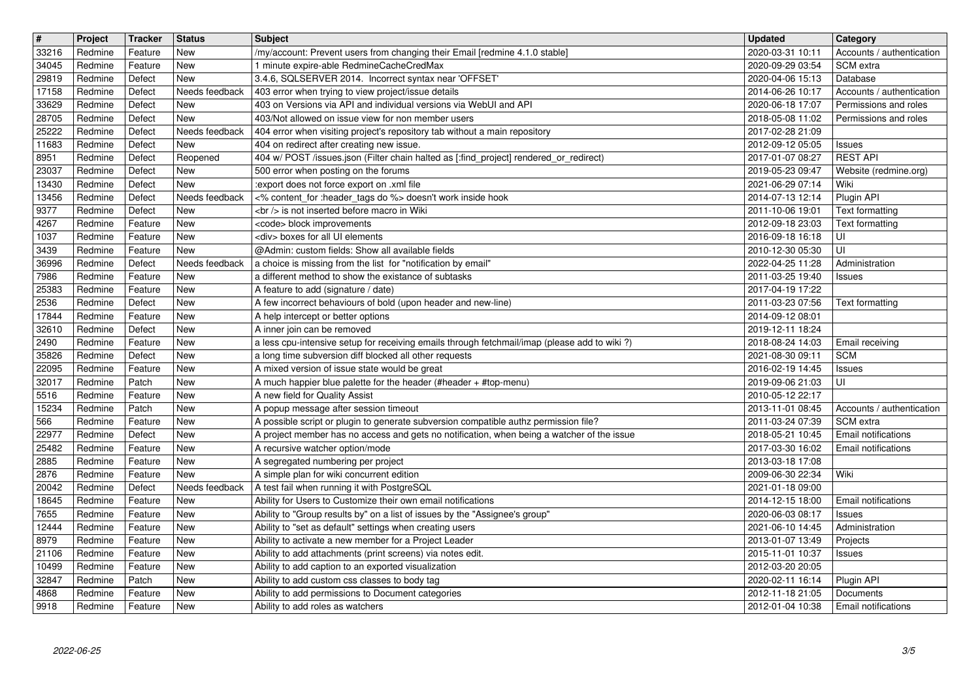| $\overline{\boldsymbol{H}}$ | Project            | Tracker            | <b>Status</b>            | <b>Subject</b>                                                                                                                                         | <b>Updated</b>                       | Category                                           |
|-----------------------------|--------------------|--------------------|--------------------------|--------------------------------------------------------------------------------------------------------------------------------------------------------|--------------------------------------|----------------------------------------------------|
| 33216<br>34045              | Redmine<br>Redmine | Feature<br>Feature | New<br><b>New</b>        | /my/account: Prevent users from changing their Email [redmine 4.1.0 stable]<br>1 minute expire-able RedmineCacheCredMax                                | 2020-03-31 10:11<br>2020-09-29 03:54 | Accounts / authentication<br>SCM extra             |
| 29819                       | Redmine            | Defect             | <b>New</b>               | 3.4.6, SQLSERVER 2014. Incorrect syntax near 'OFFSET'                                                                                                  | 2020-04-06 15:13                     | Database                                           |
| 17158<br>33629              | Redmine<br>Redmine | Defect<br>Defect   | Needs feedback<br>New    | 403 error when trying to view project/issue details<br>403 on Versions via API and individual versions via WebUI and API                               | 2014-06-26 10:17<br>2020-06-18 17:07 | Accounts / authentication<br>Permissions and roles |
| 28705                       | Redmine            | Defect             | <b>New</b>               | 403/Not allowed on issue view for non member users                                                                                                     | 2018-05-08 11:02                     | Permissions and roles                              |
| 25222<br>11683              | Redmine<br>Redmine | Defect<br>Defect   | Needs feedback<br>New    | 404 error when visiting project's repository tab without a main repository<br>404 on redirect after creating new issue.                                | 2017-02-28 21:09<br>2012-09-12 05:05 | <b>Issues</b>                                      |
| 8951                        | Redmine            | Defect             | Reopened                 | 404 w/ POST /issues.json (Filter chain halted as [:find_project] rendered_or_redirect)                                                                 | 2017-01-07 08:27                     | <b>REST API</b>                                    |
| 23037<br>13430              | Redmine<br>Redmine | Defect<br>Defect   | <b>New</b><br><b>New</b> | 500 error when posting on the forums<br>:export does not force export on .xml file                                                                     | 2019-05-23 09:47<br>2021-06-29 07:14 | Website (redmine.org)<br>Wiki                      |
| 13456                       | Redmine            | Defect             | Needs feedback           | <% content_for :header_tags do %> doesn't work inside hook                                                                                             | 2014-07-13 12:14                     | Plugin API                                         |
| 9377<br>4267                | Redmine<br>Redmine | Defect<br>Feature  | <b>New</b><br><b>New</b> | <br>> is not inserted before macro in Wiki<br><code> block improvements</code>                                                                         | 2011-10-06 19:01<br>2012-09-18 23:03 | <b>Text formatting</b>                             |
| 1037                        | Redmine            | Feature            | New                      | <div> boxes for all UI elements</div>                                                                                                                  | 2016-09-18 16:18                     | Text formatting<br>UI                              |
| 3439                        | Redmine            | Feature            | New                      | @Admin: custom fields: Show all available fields                                                                                                       | 2010-12-30 05:30                     | UI                                                 |
| 36996<br>7986               | Redmine<br>Redmine | Defect<br>Feature  | Needs feedback<br>New    | a choice is missing from the list for "notification by email"<br>a different method to show the existance of subtasks                                  | 2022-04-25 11:28<br>2011-03-25 19:40 | Administration<br>Issues                           |
| 25383                       | Redmine            | Feature            | New                      | A feature to add (signature / date)                                                                                                                    | 2017-04-19 17:22                     |                                                    |
| 2536<br>17844               | Redmine<br>Redmine | Defect<br>Feature  | New<br>New               | A few incorrect behaviours of bold (upon header and new-line)<br>A help intercept or better options                                                    | 2011-03-23 07:56<br>2014-09-12 08:01 | Text formatting                                    |
| 32610                       | Redmine            | Defect             | New                      | A inner join can be removed                                                                                                                            | 2019-12-11 18:24                     |                                                    |
| 2490<br>35826               | Redmine<br>Redmine | Feature<br>Defect  | <b>New</b><br>New        | a less cpu-intensive setup for receiving emails through fetchmail/imap (please add to wiki?)<br>a long time subversion diff blocked all other requests | 2018-08-24 14:03<br>2021-08-30 09:11 | Email receiving<br><b>SCM</b>                      |
| 22095                       | Redmine            | Feature            | New                      | A mixed version of issue state would be great                                                                                                          | 2016-02-19 14:45                     | <b>Issues</b>                                      |
| 32017<br>5516               | Redmine<br>Redmine | Patch<br>Feature   | New<br>New               | A much happier blue palette for the header (#header + #top-menu)<br>A new field for Quality Assist                                                     | 2019-09-06 21:03<br>2010-05-12 22:17 | UI                                                 |
| 15234                       | Redmine            | Patch              | New                      | A popup message after session timeout                                                                                                                  | 2013-11-01 08:45                     | Accounts / authentication                          |
| 566                         | Redmine            | Feature            | New<br>New               | A possible script or plugin to generate subversion compatible authz permission file?                                                                   | 2011-03-24 07:39                     | SCM extra<br><b>Email notifications</b>            |
| 22977<br>25482              | Redmine<br>Redmine | Defect<br>Feature  | New                      | A project member has no access and gets no notification, when being a watcher of the issue<br>A recursive watcher option/mode                          | 2018-05-21 10:45<br>2017-03-30 16:02 | Email notifications                                |
| 2885                        | Redmine            | Feature            | New                      | A segregated numbering per project                                                                                                                     | 2013-03-18 17:08                     |                                                    |
| 2876<br>20042               | Redmine<br>Redmine | Feature<br>Defect  | New<br>Needs feedback    | A simple plan for wiki concurrent edition<br>A test fail when running it with PostgreSQL                                                               | 2009-06-30 22:34<br>2021-01-18 09:00 | Wiki                                               |
| 18645                       | Redmine            | Feature            | New                      | Ability for Users to Customize their own email notifications                                                                                           | 2014-12-15 18:00                     | Email notifications                                |
| 7655<br>12444               | Redmine<br>Redmine | Feature<br>Feature | New<br>New               | Ability to "Group results by" on a list of issues by the "Assignee's group"<br>Ability to "set as default" settings when creating users                | 2020-06-03 08:17<br>2021-06-10 14:45 | <b>Issues</b><br>Administration                    |
| 8979                        | Redmine            | Feature            | New                      | Ability to activate a new member for a Project Leader                                                                                                  | 2013-01-07 13:49                     | Projects                                           |
| 21106<br>10499              | Redmine<br>Redmine | Feature<br>Feature | New<br>New               | Ability to add attachments (print screens) via notes edit.<br>Ability to add caption to an exported visualization                                      | 2015-11-01 10:37<br>2012-03-20 20:05 | Issues                                             |
| 32847                       | Redmine            | Patch              | New                      | Ability to add custom css classes to body tag                                                                                                          | 2020-02-11 16:14                     | Plugin API                                         |
| 4868<br>9918                | Redmine<br>Redmine | Feature<br>Feature | New<br>New               | Ability to add permissions to Document categories<br>Ability to add roles as watchers                                                                  | 2012-11-18 21:05<br>2012-01-04 10:38 | Documents<br>Email notifications                   |
|                             |                    |                    |                          |                                                                                                                                                        |                                      |                                                    |
|                             |                    |                    |                          |                                                                                                                                                        |                                      |                                                    |
|                             |                    |                    |                          |                                                                                                                                                        |                                      |                                                    |
|                             |                    |                    |                          |                                                                                                                                                        |                                      |                                                    |
|                             |                    |                    |                          |                                                                                                                                                        |                                      |                                                    |
|                             |                    |                    |                          |                                                                                                                                                        |                                      |                                                    |
|                             |                    |                    |                          |                                                                                                                                                        |                                      |                                                    |
|                             |                    |                    |                          |                                                                                                                                                        |                                      |                                                    |
|                             |                    |                    |                          |                                                                                                                                                        |                                      |                                                    |
|                             |                    |                    |                          |                                                                                                                                                        |                                      |                                                    |
|                             |                    |                    |                          |                                                                                                                                                        |                                      |                                                    |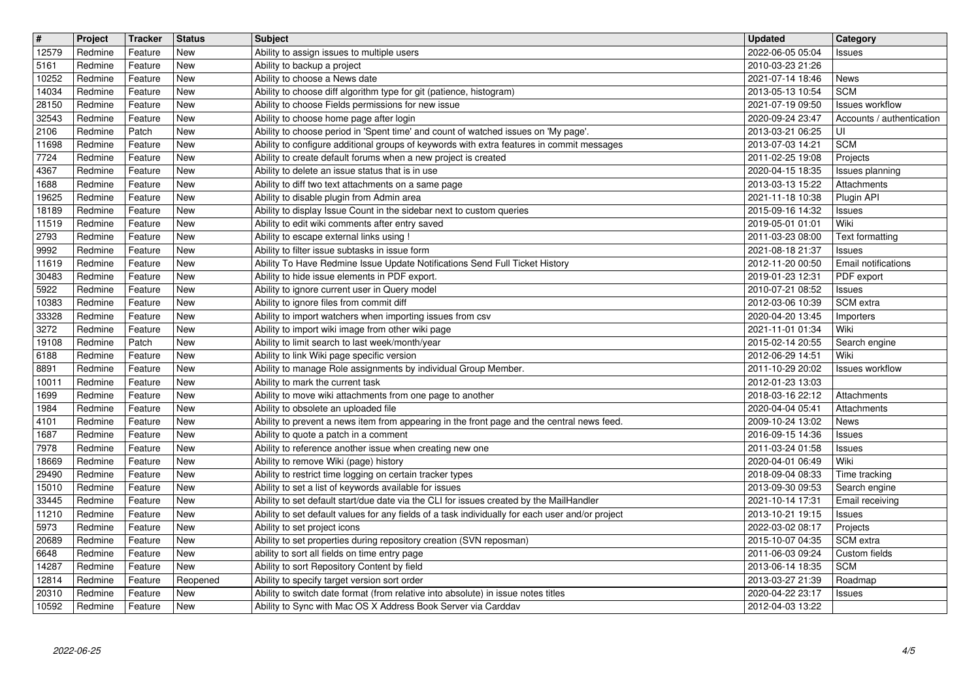| $\overline{\mathbf{H}}$ | Project            | Tracker            | <b>Status</b>     | <b>Subject</b>                                                                                                                                                                  | <b>Updated</b>                       | Category                                    |
|-------------------------|--------------------|--------------------|-------------------|---------------------------------------------------------------------------------------------------------------------------------------------------------------------------------|--------------------------------------|---------------------------------------------|
| 12579                   | Redmine            | Feature            | New               | Ability to assign issues to multiple users                                                                                                                                      | 2022-06-05 05:04                     | Issues                                      |
| 5161<br>10252           | Redmine<br>Redmine | Feature<br>Feature | New<br><b>New</b> | Ability to backup a project<br>Ability to choose a News date                                                                                                                    | 2010-03-23 21:26<br>2021-07-14 18:46 | <b>News</b>                                 |
| 14034                   | Redmine            | Feature            | New               | Ability to choose diff algorithm type for git (patience, histogram)                                                                                                             | 2013-05-13 10:54                     | <b>SCM</b>                                  |
| 28150                   | Redmine            | Feature            | New               | Ability to choose Fields permissions for new issue                                                                                                                              | 2021-07-19 09:50                     | <b>Issues workflow</b>                      |
| 32543                   | Redmine            | Feature            | New               | Ability to choose home page after login                                                                                                                                         | 2020-09-24 23:47                     | Accounts / authentication                   |
| 2106<br>11698           | Redmine<br>Redmine | Patch<br>Feature   | New<br>New        | Ability to choose period in 'Spent time' and count of watched issues on 'My page'.<br>Ability to configure additional groups of keywords with extra features in commit messages | 2013-03-21 06:25<br>2013-07-03 14:21 | UI<br><b>SCM</b>                            |
| 7724                    | Redmine            | Feature            | New               | Ability to create default forums when a new project is created                                                                                                                  | 2011-02-25 19:08                     | Projects                                    |
| 4367                    | Redmine            | Feature            | New               | Ability to delete an issue status that is in use                                                                                                                                | 2020-04-15 18:35                     | Issues planning                             |
| 1688<br>19625           | Redmine<br>Redmine | Feature<br>Feature | New<br>New        | Ability to diff two text attachments on a same page<br>Ability to disable plugin from Admin area                                                                                | 2013-03-13 15:22<br>2021-11-18 10:38 | Attachments<br>Plugin API                   |
| 18189                   | Redmine            | Feature            | New               | Ability to display Issue Count in the sidebar next to custom queries                                                                                                            | 2015-09-16 14:32                     | Issues                                      |
| 11519                   | Redmine            | Feature            | New               | Ability to edit wiki comments after entry saved                                                                                                                                 | 2019-05-01 01:01                     | Wiki                                        |
| 2793                    | Redmine            | Feature            | New               | Ability to escape external links using !                                                                                                                                        | 2011-03-23 08:00                     | Text formatting                             |
| 9992<br>11619           | Redmine<br>Redmine | Feature<br>Feature | New<br>New        | Ability to filter issue subtasks in issue form<br>Ability To Have Redmine Issue Update Notifications Send Full Ticket History                                                   | 2021-08-18 21:37<br>2012-11-20 00:50 | <b>Issues</b><br><b>Email notifications</b> |
| 30483                   | Redmine            | Feature            | New               | Ability to hide issue elements in PDF export.                                                                                                                                   | 2019-01-23 12:31                     | PDF export                                  |
| 5922                    | Redmine            | Feature            | New               | Ability to ignore current user in Query model                                                                                                                                   | 2010-07-21 08:52                     | <b>Issues</b>                               |
| 10383<br>33328          | Redmine<br>Redmine | Feature<br>Feature | New<br>New        | Ability to ignore files from commit diff<br>Ability to import watchers when importing issues from csv                                                                           | 2012-03-06 10:39<br>2020-04-20 13:45 | SCM extra<br>Importers                      |
| 3272                    | Redmine            | Feature            | New               | Ability to import wiki image from other wiki page                                                                                                                               | 2021-11-01 01:34                     | Wiki                                        |
| 19108                   | Redmine            | Patch              | New               | Ability to limit search to last week/month/year                                                                                                                                 | 2015-02-14 20:55                     | Search engine                               |
| 6188<br>8891            | Redmine<br>Redmine | Feature<br>Feature | New<br>New        | Ability to link Wiki page specific version<br>Ability to manage Role assignments by individual Group Member.                                                                    | 2012-06-29 14:51<br>2011-10-29 20:02 | Wiki<br><b>Issues workflow</b>              |
| 10011                   | Redmine            | Feature            | <b>New</b>        | Ability to mark the current task                                                                                                                                                | 2012-01-23 13:03                     |                                             |
| 1699                    | Redmine            | Feature            | New               | Ability to move wiki attachments from one page to another                                                                                                                       | 2018-03-16 22:12                     | Attachments                                 |
| 1984                    | Redmine            | Feature            | New               | Ability to obsolete an uploaded file                                                                                                                                            | 2020-04-04 05:41                     | Attachments                                 |
| 4101<br>1687            | Redmine<br>Redmine | Feature<br>Feature | New<br>New        | Ability to prevent a news item from appearing in the front page and the central news feed.<br>Ability to quote a patch in a comment                                             | 2009-10-24 13:02<br>2016-09-15 14:36 | News<br>Issues                              |
| 7978                    | Redmine            | Feature            | New               | Ability to reference another issue when creating new one                                                                                                                        | 2011-03-24 01:58                     | Issues                                      |
| 18669                   | Redmine            | Feature            | New               | Ability to remove Wiki (page) history                                                                                                                                           | 2020-04-01 06:49                     | Wiki                                        |
| 29490                   | Redmine            | Feature            | New               | Ability to restrict time logging on certain tracker types                                                                                                                       | 2018-09-04 08:33                     | Time tracking                               |
| 15010<br>33445          | Redmine<br>Redmine | Feature<br>Feature | New<br>New        | Ability to set a list of keywords available for issues<br>Ability to set default start/due date via the CLI for issues created by the MailHandler                               | 2013-09-30 09:53<br>2021-10-14 17:31 | Search engine<br>Email receiving            |
| 11210                   | Redmine            | Feature            | New               | Ability to set default values for any fields of a task individually for each user and/or project                                                                                | 2013-10-21 19:15                     | Issues                                      |
| 5973                    | Redmine            | Feature            | New               | Ability to set project icons                                                                                                                                                    | 2022-03-02 08:17                     | Projects                                    |
| 20689<br>6648           | Redmine<br>Redmine | Feature<br>Feature | New<br>New        | Ability to set properties during repository creation (SVN reposman)<br>ability to sort all fields on time entry page                                                            | 2015-10-07 04:35<br>2011-06-03 09:24 | SCM extra<br>Custom fields                  |
| 14287                   | Redmine            | Feature            | New               | Ability to sort Repository Content by field                                                                                                                                     | 2013-06-14 18:35                     | <b>SCM</b>                                  |
| 12814                   | Redmine            | Feature            | Reopened          | Ability to specify target version sort order                                                                                                                                    | 2013-03-27 21:39                     | Roadmap                                     |
| 20310<br>10592          | Redmine<br>Redmine | Feature<br>Feature | New<br>New        | Ability to switch date format (from relative into absolute) in issue notes titles<br>Ability to Sync with Mac OS X Address Book Server via Carddav                              | 2020-04-22 23:17<br>2012-04-03 13:22 | Issues                                      |
|                         |                    |                    |                   |                                                                                                                                                                                 |                                      |                                             |
|                         |                    |                    |                   |                                                                                                                                                                                 |                                      |                                             |
|                         |                    |                    |                   |                                                                                                                                                                                 |                                      |                                             |
|                         |                    |                    |                   |                                                                                                                                                                                 |                                      |                                             |
|                         |                    |                    |                   |                                                                                                                                                                                 |                                      |                                             |
|                         |                    |                    |                   |                                                                                                                                                                                 |                                      |                                             |
|                         |                    |                    |                   |                                                                                                                                                                                 |                                      |                                             |
|                         |                    |                    |                   |                                                                                                                                                                                 |                                      |                                             |
|                         |                    |                    |                   |                                                                                                                                                                                 |                                      |                                             |
|                         |                    |                    |                   |                                                                                                                                                                                 |                                      |                                             |
|                         |                    |                    |                   |                                                                                                                                                                                 |                                      |                                             |
|                         |                    |                    |                   |                                                                                                                                                                                 |                                      |                                             |
|                         |                    |                    |                   |                                                                                                                                                                                 |                                      |                                             |
|                         |                    |                    |                   |                                                                                                                                                                                 |                                      |                                             |
|                         |                    |                    |                   |                                                                                                                                                                                 |                                      |                                             |
|                         |                    |                    |                   |                                                                                                                                                                                 |                                      |                                             |
|                         |                    |                    |                   |                                                                                                                                                                                 |                                      |                                             |